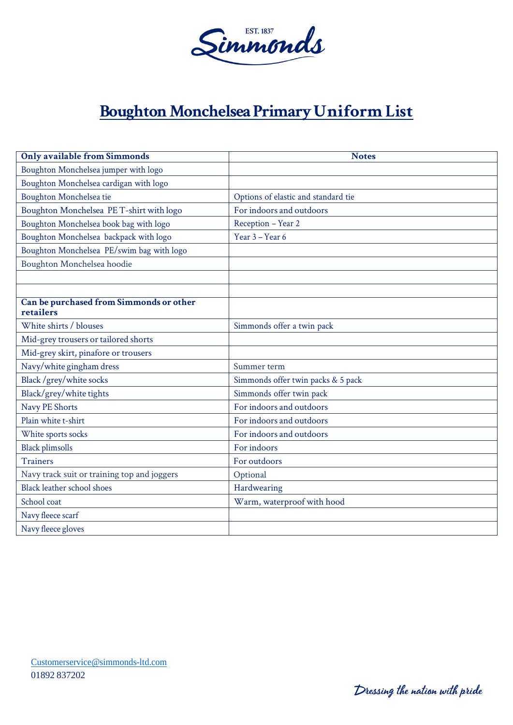

## **Boughton Monchelsea Primary Uniform List**

| <b>Only available from Simmonds</b>                  | <b>Notes</b>                        |
|------------------------------------------------------|-------------------------------------|
| Boughton Monchelsea jumper with logo                 |                                     |
| Boughton Monchelsea cardigan with logo               |                                     |
| Boughton Monchelsea tie                              | Options of elastic and standard tie |
| Boughton Monchelsea PE T-shirt with logo             | For indoors and outdoors            |
| Boughton Monchelsea book bag with logo               | Reception - Year 2                  |
| Boughton Monchelsea backpack with logo               | Year 3 - Year 6                     |
| Boughton Monchelsea PE/swim bag with logo            |                                     |
| Boughton Monchelsea hoodie                           |                                     |
|                                                      |                                     |
|                                                      |                                     |
| Can be purchased from Simmonds or other<br>retailers |                                     |
| White shirts / blouses                               | Simmonds offer a twin pack          |
| Mid-grey trousers or tailored shorts                 |                                     |
| Mid-grey skirt, pinafore or trousers                 |                                     |
| Navy/white gingham dress                             | Summer term                         |
| Black /grey/white socks                              | Simmonds offer twin packs & 5 pack  |
| Black/grey/white tights                              | Simmonds offer twin pack            |
| Navy PE Shorts                                       | For indoors and outdoors            |
| Plain white t-shirt                                  | For indoors and outdoors            |
| White sports socks                                   | For indoors and outdoors            |
| <b>Black plimsolls</b>                               | For indoors                         |
| <b>Trainers</b>                                      | For outdoors                        |
| Navy track suit or training top and joggers          | Optional                            |
| Black leather school shoes                           | Hardwearing                         |
| School coat                                          | Warm, waterproof with hood          |
| Navy fleece scarf                                    |                                     |
| Navy fleece gloves                                   |                                     |